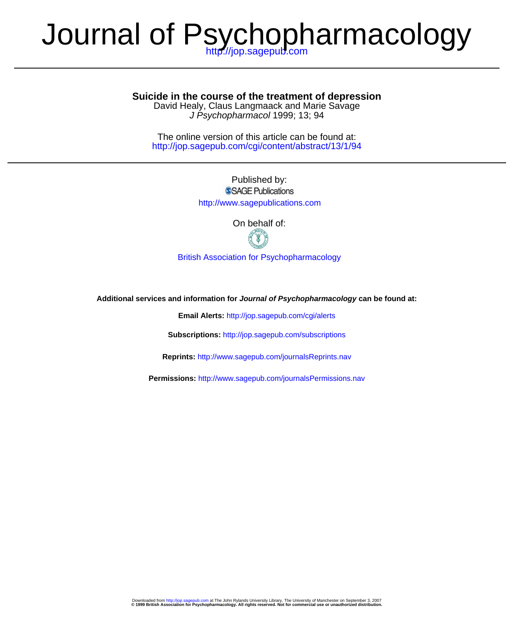# Journal of Psychopharmacology

## **Suicide in the course of the treatment of depression**

J Psychopharmacol 1999; 13; 94 David Healy, Claus Langmaack and Marie Savage

http://jop.sagepub.com/cgi/content/abstract/13/1/94 The online version of this article can be found at:

> Published by: SSAGE Publications

http://www.sagepublications.com

On behalf of:

[British Association for Psychopharmacology](http://www.bap.org.uk/)

**Additional services and information for Journal of Psychopharmacology can be found at:**

**Email Alerts:** <http://jop.sagepub.com/cgi/alerts>

**Subscriptions:** <http://jop.sagepub.com/subscriptions>

**Reprints:** <http://www.sagepub.com/journalsReprints.nav>

**Permissions:** <http://www.sagepub.com/journalsPermissions.nav>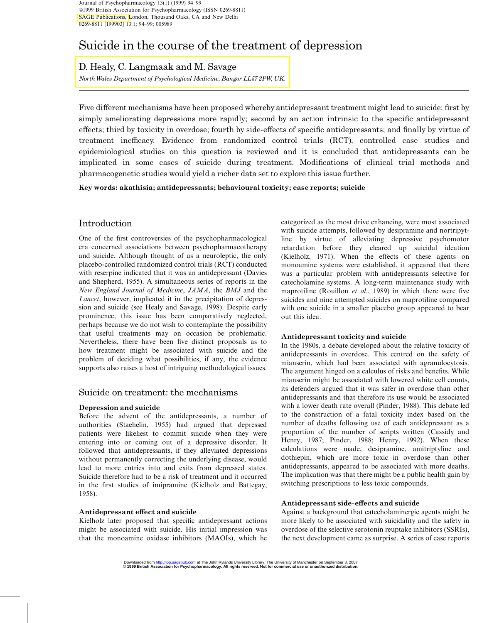## Suicide in the course of the treatment of depression

## D. Healy, C. [Langmaak](#page-5-0) and M. Savage

NorthWales Department of Psychological Medicine, Bangor LL57 2PW, UK.

Five different mechanisms have been proposed whereby antidepressant treatment might lead to suicide: first by simply ameliorating depressions more rapidly; second by an action intrinsic to the specific antidepressant effects; third by toxicity in overdose; fourth by side-effects of specific antidepressants; and finally by virtue of treatment inefficacy. Evidence from randomized control trials (RCT), controlled case studies and epidemiological studies on this question is reviewed and it is concluded that antidepressants can be implicated in some cases of suicide during treatment. Modifications of clinical trial methods and pharmacogenetic studies would yield a richer data set to explore this issue further.

Key words: akathisia; antidepressants; behavioural toxicity; case reports; suicide

## Introduction

One of the first controversies of the psychopharmacological era concerned associations between psychopharmacotherapy and suicide. Although thought of as a neuroleptic, the only placebo-controlled randomized control trials (RCT) conducted with reserpine indicated that it was an antidepressant (Davies and Shepherd, 1955). A simultaneous series of reports in the New England Journal of Medicine, JAMA, the BMJ and the Lancet, however, implicated it in the precipitation of depression and suicide (see Healy and Savage, 1998). Despite early prominence, this issue has been comparatively neglected, perhaps because we do not wish to contemplate the possibility that useful treatments may on occasion be problematic. Nevertheless, there have been five distinct proposals as to how treatment might be associated with suicide and the problem of deciding what possibilities, if any, the evidence supports also raises a host of intriguing methodological issues.

## Suicide on treatment: the mechanisms

## Depression and suicide

Before the advent of the antidepressants, a number of authorities (Staehelin, 1955) had argued that depressed patients were likeliest to commit suicide when they were entering into or coming out of a depressive disorder. It followed that antidepressants, if they alleviated depressions without permanently correcting the underlying disease, would lead to more entries into and exits from depressed states. Suicide therefore had to be a risk of treatment and it occurred in the first studies of imipramine (Kielholz and Battegay, 1958).

## Antidepressant effect and suicide

Kielholz later proposed that specific antidepressant actions might be associated with suicide. His initial impression was that the monoamine oxidase inhibitors (MAOIs), which he categorized as the most drive enhancing, were most associated with suicide attempts, followed by desipramine and nortripytline by virtue of alleviating depressive psychomotor retardation before they cleared up suicidal ideation (Kielholz, 1971). When the effects of these agents on monoamine systems were established, it appeared that there was a particular problem with antidepressants selective for catecholamine systems. A long-term maintenance study with maprotiline (Rouillon  $et$  al., 1989) in which there were five suicides and nine attempted suicides on maprotiline compared with one suicide in a smaller placebo group appeared to bear out this idea.

### Antidepressant toxicity and suicide

In the 1980s, a debate developed about the relative toxicity of antidepressants in overdose. This centred on the safety of mianserin, which had been associated with agranulocytosis. The argument hinged on a calculus of risks and benefits. While mianserin might be associated with lowered white cell counts, its defenders argued that it was safer in overdose than other antidepressants and that therefore its use would be associated with a lower death rate overall (Pinder, 1988). This debate led to the construction of a fatal toxicity index based on the number of deaths following use of each antidepressant as a proportion of the number of scripts written (Cassidy and Henry, 1987; Pinder, 1988; Henry, 1992). When these calculations were made, desipramine, amitriptyline and dothiepin, which are more toxic in overdose than other antidepressants, appeared to be associated with more deaths. The implication was that there might be a public health gain by switching prescriptions to less toxic compounds.

## Antidepressant side-effects and suicide

Against a background that catecholaminergic agents might be more likely to be associated with suicidality and the safety in overdose of the selective serotonin reuptake inhibitors (SSRIs), the next development came as surprise. A series of case reports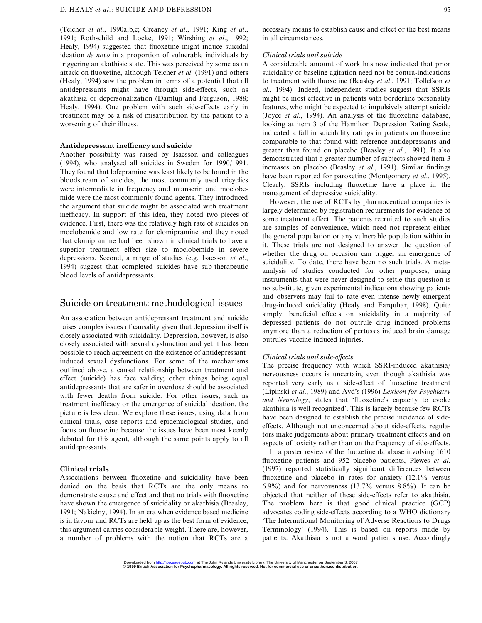(Teicher et al., 1990a,b,c; Creaney et al., 1991; King et al., 1991; Rothschild and Locke, 1991; Wirshing et al., 1992; Healy, 1994) suggested that fluoxetine might induce suicidal ideation de novo in a proportion of vulnerable individuals by triggering an akathisic state. This was perceived by some as an attack on fluoxetine, although Teicher et al. (1991) and others (Healy, 1994) saw the problem in terms of a potential that all antidepressants might have through side-effects, such as akathisia or depersonalization (Damluji and Ferguson, 1988; Healy, 1994). One problem with such side-effects early in treatment may be a risk of misattribution by the patient to a worsening of their illness.

#### Antidepressant inefficacy and suicide

Another possibility was raised by Isacsson and colleagues (1994), who analysed all suicides in Sweden for 1990/1991. They found that lofepramine was least likely to be found in the bloodstream of suicides, the most commonly used tricyclics were intermediate in frequency and mianserin and moclobemide were the most commonly found agents. They introduced the argument that suicide might be associated with treatment inefficacy. In support of this idea, they noted two pieces of evidence. First, there was the relatively high rate of suicides on moclobemide and low rate for clomipramine and they noted that clomipramine had been shown in clinical trials to have a superior treatment effect size to moclobemide in severe depressions. Second, a range of studies (e.g. Isacsson et al., 1994) suggest that completed suicides have sub-therapeutic blood levels of antidepressants.

## Suicide on treatment: methodological issues

An association between antidepressant treatment and suicide raises complex issues of causality given that depression itself is closely associated with suicidality. Depression, however, is also closely associated with sexual dysfunction and yet it has been possible to reach agreement on the existence of antidepressantinduced sexual dysfunctions. For some of the mechanisms outlined above, a causal relationship between treatment and effect (suicide) has face validity; other things being equal antidepressants that are safer in overdose should be associated with fewer deaths from suicide. For other issues, such as treatment inefficacy or the emergence of suicidal ideation, the picture is less clear. We explore these issues, using data from clinical trials, case reports and epidemiological studies, and focus on fluoxetine because the issues have been most keenly debated for this agent, although the same points apply to all antidepressants.

#### Clinical trials

Associations between fluoxetine and suicidality have been denied on the basis that RCTs are the only means to demonstrate cause and effect and that no trials with fluoxetine have shown the emergence of suicidality or akathisia (Beasley, 1991; Nakielny, 1994). In an era when evidence based medicine is in favour and RCTs are held up as the best form of evidence, this argument carries considerable weight. There are, however, a number of problems with the notion that RCTs are a necessary means to establish cause and effect or the best means in all circumstances.

#### Clinical trials and suicide

A considerable amount of work has now indicated that prior suicidality or baseline agitation need not be contra-indications to treatment with fluoxetine (Beasley et al., 1991; Tollefson et al., 1994). Indeed, independent studies suggest that SSRIs might be most effective in patients with borderline personality features, who might be expected to impulsively attempt suicide (Joyce et al., 1994). An analysis of the fluoxetine database, looking at item 3 of the Hamilton Depression Rating Scale, indicated a fall in suicidality ratings in patients on fluoxetine comparable to that found with reference antidepressants and greater than found on placebo (Beasley et al., 1991). It also demonstrated that a greater number of subjects showed item-3 increases on placebo (Beasley et al., 1991). Similar findings have been reported for paroxetine (Montgomery et al., 1995). Clearly, SSRIs including fluoxetine have a place in the management of depressive suicidality.

However, the use of RCTs by pharmaceutical companies is largely determined by registration requirements for evidence of some treatment effect. The patients recruited to such studies are samples of convenience, which need not represent either the general population or any vulnerable population within in it. These trials are not designed to answer the question of whether the drug on occasion can trigger an emergence of suicidality. To date, there have been no such trials. A metaanalysis of studies conducted for other purposes, using instruments that were never designed to settle this question is no substitute, given experimental indications showing patients and observers may fail to rate even intense newly emergent drug-induced suicidality (Healy and Farquhar, 1998). Quite simply, beneficial effects on suicidality in a majority of depressed patients do not outrule drug induced problems anymore than a reduction of pertussis induced brain damage outrules vaccine induced injuries.

#### Clinical trials and side-effects

The precise frequency with which SSRI-induced akathisia/ nervousness occurs is uncertain, even though akathisia was reported very early as a side-effect of fluoxetine treatment (Lipinski et al., 1989) and Ayd's (1996) Lexicon for Psychiatry and Neurology, states that 'fluoxetine's capacity to evoke akathisia is well recognized'. This is largely because few RCTs have been designed to establish the precise incidence of sideeffects. Although not unconcerned about side-effects, regulators make judgements about primary treatment effects and on aspects of toxicity rather than on the frequency of side-effects.

In a poster review of the fluoxetine database involving 1610 fluoxetine patients and 952 placebo patients, Plewes et al. (1997) reported statistically significant differences between fluoxetine and placebo in rates for anxiety  $(12.1\%$  versus 6.9%) and for nervousness (13.7% versus 8.8%). It can be objected that neither of these side-effects refer to akathisia. The problem here is that good clinical practice (GCP) advocates coding side-effects according to a WHO dictionary `The International Monitoring of Adverse Reactions to Drugs Terminology' (1994). This is based on reports made by patients. Akathisia is not a word patients use. Accordingly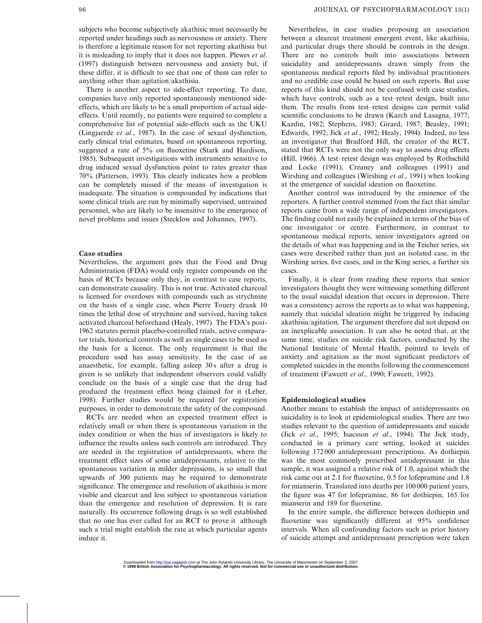subjects who become subjectively akathisic must necessarily be reported under headings such as nervousness or anxiety. There is therefore a legitimate reason for not reporting akathisia but it is misleading to imply that it does not happen. Plewes et al. (1997) distinguish between nervousness and anxiety but, if these differ, it is difficult to see that one of them can refer to anything other than agitation/akathisia.

There is another aspect to side-effect reporting. To date, companies have only reported spontaneously mentioned sideeffects, which are likely to be a small proportion of actual sideeffects. Until recently, no patients were required to complete a comprehensive list of potential side-effects such as the UKU (Lingjaerde et al., 1987). In the case of sexual dysfunction, early clinical trial estimates, based on spontaneous reporting, suggested a rate of  $5\%$  on fluoxetine (Stark and Hardison, 1985). Subsequent investigations with instruments sensitive to drug induced sexual dysfunction point to rates greater than 70% (Patterson, 1993). This clearly indicates how a problem can be completely missed if the means of investigation is inadequate. The situation is compounded by indications that some clinical trials are run by minimally supervised, untrained personnel, who are likely to be insensitive to the emergence of novel problems and issues (Stecklow and Johannes, 1997).

#### Case studies

Nevertheless, the argument goes that the Food and Drug Administration (FDA) would only register compounds on the basis of RCTs because only they, in contrast to case reports, can demonstrate causality. This is not true. Activated charcoal is licensed for overdoses with compounds such as strychnine on the basis of a single case, when Pierre Touery drank 10 times the lethal dose of strychnine and survived, having taken activated charcoal beforehand (Healy, 1997). The FDA's post-1962 statutes permit placebo-controlled trials, active comparator trials, historical controls as well as single cases to be used as the basis for a licence. The only requirement is that the procedure used has assay sensitivity. In the case of an anaesthetic, for example, falling asleep 30 s after a drug is given is so unlikely that independent observers could validly conclude on the basis of a single case that the drug had produced the treatment effect being claimed for it (Leber, 1998). Further studies would be required for registration purposes, in order to demonstrate the safety of the compound.

RCTs are needed when an expected treatment effect is relatively small or when there is spontaneous variation in the index condition or when the bias of investigators is likely to influence the results unless such controls are introduced. They are needed in the registration of antidepressants, where the treatment effect sizes of some antidepressants, relative to the spontaneous variation in milder depressions, is so small that upwards of 300 patients may be required to demonstrate significance. The emergence and resolution of akathisia is more visible and clearcut and less subject to spontaneous variation than the emergence and resolution of depression. It is rare naturally. Its occurrence following drugs is so well established that no one has ever called for an RCT to prove it although such a trial might establish the rate at which particular agents induce it.

Nevertheless, in case studies proposing an association between a clearcut treatment emergent event, like akathisia, and particular drugs there should be controls in the design. There are no controls built into associations between suicidality and antidepressants drawn simply from the spontaneous medical reports filed by individual practitioners and no credible case could be based on such reports. But case reports of this kind should not be confused with case studies, which have controls, such as a test-retest design, built into them. The results from test-retest designs can permit valid scientific conclusions to be drawn (Karch and Lasagna, 1977; Kazdin, 1982; Stephens, 1983; Girard, 1987; Beasley, 1991; Edwards, 1992; Jick et al., 1992; Healy, 1994). Indeed, no less an investigator that Bradford Hill, the creator of the RCT, stated that RCTs were not the only way to assess drug effects (Hill, 1966). A test-retest design was employed by Rothschild and Locke (1991), Creaney and colleagues (1991) and Wirshing and colleagues (Wirshing et al., 1991) when looking at the emergence of suicidal ideation on fluoxetine.

Another control was introduced by the eminence of the reporters. A further control stemmed from the fact that similar reports came from a wide range of independent investigators. The finding could not easily be explained in terms of the bias of one investigator or centre. Furthermore, in contrast to spontaneous medical reports, senior investigators agreed on the details of what was happening and in the Teicher series, six cases were described rather than just an isolated case, in the Wirshing series, five cases, and in the King series, a further six cases.

Finally, it is clear from reading these reports that senior investigators thought they were witnessing something different to the usual suicidal ideation that occurs in depression. There was a consistency across the reports as to what was happening, namely that suicidal ideation might be triggered by inducing akathisia/agitation. The argument therefore did not depend on an inexplicable association. It can also be noted that, at the same time, studies on suicide risk factors, conducted by the National Institute of Mental Health, pointed to levels of anxiety and agitation as the most significant predictors of completed suicides in the months following the commencement of treatment (Fawcett et al., 1990; Fawcett, 1992).

#### Epidemiological studies

Another means to establish the impact of antidepressants on suicidality is to look at epidemiological studies. There are two studies relevant to the question of antidepressants and suicide (Jick et al., 1995; Isacsson et al., 1994). The Jick study, conducted in a primary care setting, looked at suicides following 172 000 antidepressant prescriptions. As dothiepin was the most commonly prescribed antidepressant in this sample, it was assigned a relative risk of 1.0, against which the risk came out at 2.1 for fluoxetine,  $0.5$  for lofepramine and  $1.8$ for mianserin. Translated into deaths per 100 000 patient years, the figure was 47 for lofepramine, 86 for dothiepin, 165 for mianserin and 189 for fluoxetine.

In the entire sample, the difference between dothiepin and fluoxetine was significantly different at 95% confidence intervals. When all confounding factors such as prior history of suicide attempt and antidepressant prescription were taken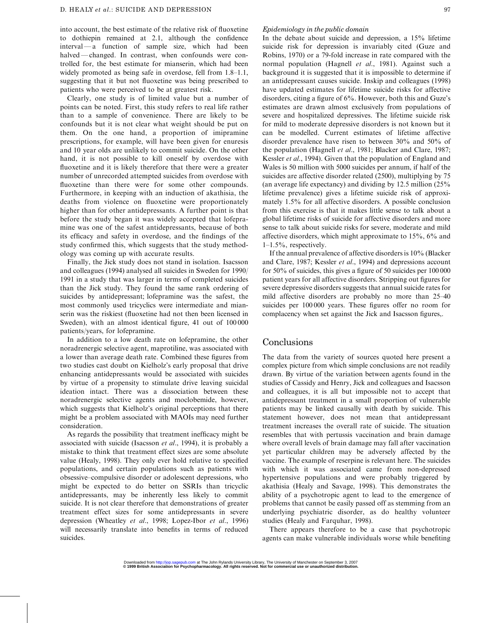into account, the best estimate of the relative risk of fluoxetine to dothiepin remained at 2.1, although the confidence  $interval - a$  function of sample size, which had been halved – changed. In contrast, when confounds were controlled for, the best estimate for mianserin, which had been widely promoted as being safe in overdose, fell from  $1.8-1.1$ , suggesting that it but not fluoxetine was being prescribed to patients who were perceived to be at greatest risk.

Clearly, one study is of limited value but a number of points can be noted. First, this study refers to real life rather than to a sample of convenience. There are likely to be confounds but it is not clear what weight should be put on them. On the one hand, a proportion of imipramine prescriptions, for example, will have been given for enuresis and 10 year olds are unlikely to commit suicide. On the other hand, it is not possible to kill oneself by overdose with fluoxetine and it is likely therefore that there were a greater number of unrecorded attempted suicides from overdose with fluoxetine than there were for some other compounds. Furthermore, in keeping with an induction of akathisia, the deaths from violence on fluoxetine were proportionately higher than for other antidepressants. A further point is that before the study began it was widely accepted that lofepramine was one of the safest antidepressants, because of both its efficacy and safety in overdose, and the findings of the study confirmed this, which suggests that the study methodology was coming up with accurate results.

Finally, the Jick study does not stand in isolation. Isacsson and colleagues (1994) analysed all suicides in Sweden for 1990/ 1991 in a study that was larger in terms of completed suicides than the Jick study. They found the same rank ordering of suicides by antidepressant; lofepramine was the safest, the most commonly used tricyclics were intermediate and mianserin was the riskiest (fluoxetine had not then been licensed in Sweden), with an almost identical figure, 41 out of 100000 patients/years, for lofepramine.

In addition to a low death rate on lofepramine, the other noradrenergic selective agent, maprotiline, was associated with a lower than average death rate. Combined these figures from two studies cast doubt on Kielholz's early proposal that drive enhancing antidepressants would be associated with suicides by virtue of a propensity to stimulate drive leaving suicidal ideation intact. There was a dissociation between these noradrenergic selective agents and moclobemide, however, which suggests that Kielholz's original perceptions that there might be a problem associated with MAOIs may need further consideration.

As regards the possibility that treatment inefficacy might be associated with suicide (Isacsson et al., 1994), it is probably a mistake to think that treatment effect sizes are some absolute value (Healy, 1998). They only ever hold relative to specified populations, and certain populations such as patients with obsessive–compulsive disorder or adolescent depressions, who might be expected to do better on SSRIs than tricyclic antidepressants, may be inherently less likely to commit suicide. It is not clear therefore that demonstrations of greater treatment effect sizes for some antidepressants in severe depression (Wheatley et al., 1998; Lopez-Ibor et al., 1996) will necessarily translate into benefits in terms of reduced suicides.

## Epidemiology in the public domain

In the debate about suicide and depression, a 15% lifetime suicide risk for depression is invariably cited (Guze and Robins, 1970) or a 79-fold increase in rate compared with the normal population (Hagnell *et al.*, 1981). Against such a background it is suggested that it is impossible to determine if an antidepressant causes suicide. Inskip and colleagues (1998) have updated estimates for lifetime suicide risks for affective disorders, citing a figure of  $6\%$ . However, both this and Guze's estimates are drawn almost exclusively from populations of severe and hospitalized depressives. The lifetime suicide risk for mild to moderate depressive disorders is not known but it can be modelled. Current estimates of lifetime affective disorder prevalence have risen to between 30% and 50% of the population (Hagnell et al., 1981; Blacker and Clare, 1987; Kessler et al., 1994). Given that the population of England and Wales is 50 million with 5000 suicides per annum, if half of the suicides are affective disorder related (2500), multiplying by 75 (an average life expectancy) and dividing by 12.5 million (25% lifetime prevalence) gives a lifetime suicide risk of approximately 1.5% for all affective disorders. A possible conclusion from this exercise is that it makes little sense to talk about a global lifetime risks of suicide for affective disorders and more sense to talk about suicide risks for severe, moderate and mild affective disorders, which might approximate to 15%, 6% and  $1-1.5\%$ , respectively.

If the annual prevalence of affective disorders is 10% (Blacker and Clare, 1987; Kessler et al., 1994) and depressions account for  $50\%$  of suicides, this gives a figure of 50 suicides per  $100\,000$ patient years for all affective disorders. Stripping out figures for severe depressive disorders suggests that annual suicide rates for mild affective disorders are probably no more than 25-40 suicides per 100 000 years. These figures offer no room for complacency when set against the Jick and Isacsson figures,.

## Conclusions

The data from the variety of sources quoted here present a complex picture from which simple conclusions are not readily drawn. By virtue of the variation between agents found in the studies of Cassidy and Henry, Jick and colleagues and Isacsson and colleagues, it is all but impossible not to accept that antidepressant treatment in a small proportion of vulnerable patients may be linked causally with death by suicide. This statement however, does not mean that antidepressant treatment increases the overall rate of suicide. The situation resembles that with pertussis vaccination and brain damage where overall levels of brain damage may fall after vaccination yet particular children may be adversely affected by the vaccine. The example of reserpine is relevant here. The suicides with which it was associated came from non-depressed hypertensive populations and were probably triggered by akathisia (Healy and Savage, 1998). This demonstrates the ability of a psychotropic agent to lead to the emergence of problems that cannot be easily passed off as stemming from an underlying psychiatric disorder, as do healthy volunteer studies (Healy and Farquhar, 1998).

There appears therefore to be a case that psychotropic agents can make vulnerable individuals worse while benefiting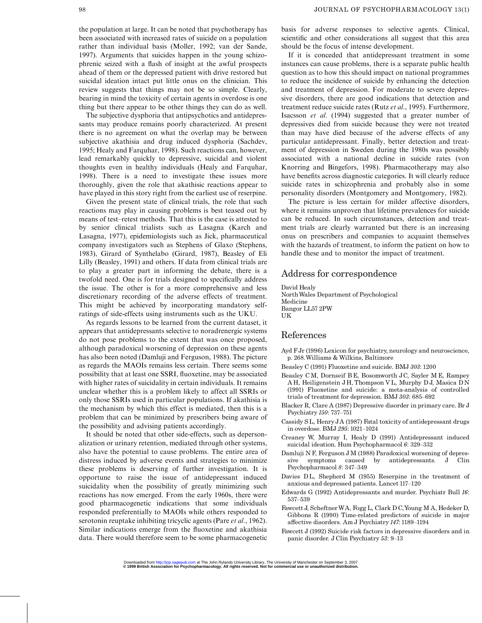<span id="page-5-0"></span>the population at large. It can be noted that psychotherapy has been associated with increased rates of suicide on a population rather than individual basis (Moller, 1992; van der Sande, 1997). Arguments that suicides happen in the young schizophrenic seized with a flash of insight at the awful prospects ahead of them or the depressed patient with drive restored but suicidal ideation intact put little onus on the clinician. This review suggests that things may not be so simple. Clearly, bearing in mind the toxicity of certain agents in overdose is one thing but there appear to be other things they can do as well.

The subjective dysphoria that antipsychotics and antidepressants may produce remains poorly characterized. At present there is no agreement on what the overlap may be between subjective akathisia and drug induced dysphoria (Sachdev, 1995; Healy and Farquhar, 1998). Such reactions can, however, lead remarkably quickly to depressive, suicidal and violent thoughts even in healthy individuals (Healy and Farquhar, 1998). There is a need to investigate these issues more thoroughly, given the role that akathisic reactions appear to have played in this story right from the earliest use of reserpine.

Given the present state of clinical trials, the role that such reactions may play in causing problems is best teased out by means of test-retest methods. That this is the case is attested to by senior clinical trialists such as Lasagna (Karch and Lasagna, 1977), epidemiologists such as Jick, pharmaceutical company investigators such as Stephens of Glaxo (Stephens, 1983), Girard of Synthelabo (Girard, 1987), Beasley of Eli Lilly (Beasley, 1991) and others. If data from clinical trials are to play a greater part in informing the debate, there is a twofold need. One is for trials designed to specifically address the issue. The other is for a more comprehensive and less discretionary recording of the adverse effects of treatment. This might be achieved by incorporating mandatory selfratings of side-effects using instruments such as the UKU.

As regards lessons to be learned from the current dataset, it appears that antidepressants selective to noradrenergic systems do not pose problems to the extent that was once proposed, although paradoxical worsening of depression on these agents has also been noted (Damluji and Ferguson, 1988). The picture as regards the MAOIs remains less certain. There seems some possibility that at least one SSRI, fluoxetine, may be associated with higher rates of suicidality in certain individuals. It remains unclear whether this is a problem likely to affect all SSRIs or only those SSRIs used in particular populations. If akathisia is the mechanism by which this effect is mediated, then this is a problem that can be minimized by prescribers being aware of the possibility and advising patients accordingly.

It should be noted that other side-effects, such as depersonalization or urinary retention, mediated through other systems, also have the potential to cause problems. The entire area of distress induced by adverse events and strategies to minimize these problems is deserving of further investigation. It is opportune to raise the issue of antidepressant induced suicidality when the possibility of greatly minimizing such reactions has now emerged. From the early 1960s, there were good pharmacogenetic indications that some individuals responded preferentially to MAOIs while others responded to serotonin reuptake inhibiting tricyclic agents (Pare *et al.*, 1962). Similar indications emerge from the fluoxetine and akathisia data. There would therefore seem to be some pharmacogenetic basis for adverse responses to selective agents. Clinical, scientific and other considerations all suggest that this area should be the focus of intense development.

If it is conceded that antidepressant treatment in some instances can cause problems, there is a separate public health question as to how this should impact on national programmes to reduce the incidence of suicide by enhancing the detection and treatment of depression. For moderate to severe depressive disorders, there are good indications that detection and treatment reduce suicide rates (Rutz et al., 1995). Furthermore, Isacsson et al. (1994) suggested that a greater number of depressives died from suicide because they were not treated than may have died because of the adverse effects of any particular antidepressant. Finally, better detection and treatment of depression in Sweden during the 1980s was possibly associated with a national decline in suicide rates (von Knorring and Bingefors, 1998). Pharmacotherapy may also have benefits across diagnostic categories. It will clearly reduce suicide rates in schizophrenia and probably also in some personality disorders (Montgomery and Montgomery, 1982).

The picture is less certain for milder affective disorders, where it remains unproven that lifetime prevalences for suicide can be reduced. In such circumstances, detection and treatment trials are clearly warranted but there is an increasing onus on prescribers and companies to acquaint themselves with the hazards of treatment, to inform the patient on how to handle these and to monitor the impact of treatment.

## Address for correspondence

David Healy NorthWales Department of Psychological Medicine Bangor LL57 2PW UK

## References

- Ayd FJr (1996) Lexicon for psychiatry, neurology and neuroscience, p. 268.Williams & Wilkins, Baltimore
- Beasley C (1991) Fluoxetine and suicide. BMJ 303: 1200
- Beasley CM, Dornseif B E, Bosomworth JC, Sayler M E, Rampey A H, Heiligenstein J H, Thompson V L, Murphy DJ, Masica DN (1991) Fluoxetine and suicide: a meta-analysis of controlled trials of treatment for depression. BMJ 303: 685^692
- Blacker R, Clare A (1987) Depressive disorder in primary care. Br J Psychiatry 150: 737^751
- Cassidy S L, Henry JA (1987) Fatal toxicity of antidepressant drugs in overdose. BMJ 295: 1021^1024
- Creaney W, Murray I, Healy D (1991) Antidepressant induced suicidal ideation. Hum Psychopharmacol 6: 329-332
- Damluji N F, Ferguson J M (1988) Paradoxical worsening of depressive symptoms caused by antidepressants. J Clin Psychopharmacol 8: 347^349
- Davies DL, Shepherd M (1955) Reserpine in the treatment of anxious and depressed patients. Lancet 117^120
- Edwards G (1992) Antidepressants and murder. Psychiatr Bull 16: 537^539
- Fawcett J, ScheftnerWA, Fogg L, Clark DC,Young M A, Hedeker D, Gibbons R (1990) Time-related predictors of suicide in major affective disorders. Am J Psychiatry 147: 1189-1194
- Fawcett J (1992) Suicide risk factors in depressive disorders and in panic disorder. J Clin Psychiatry 53: 9^13